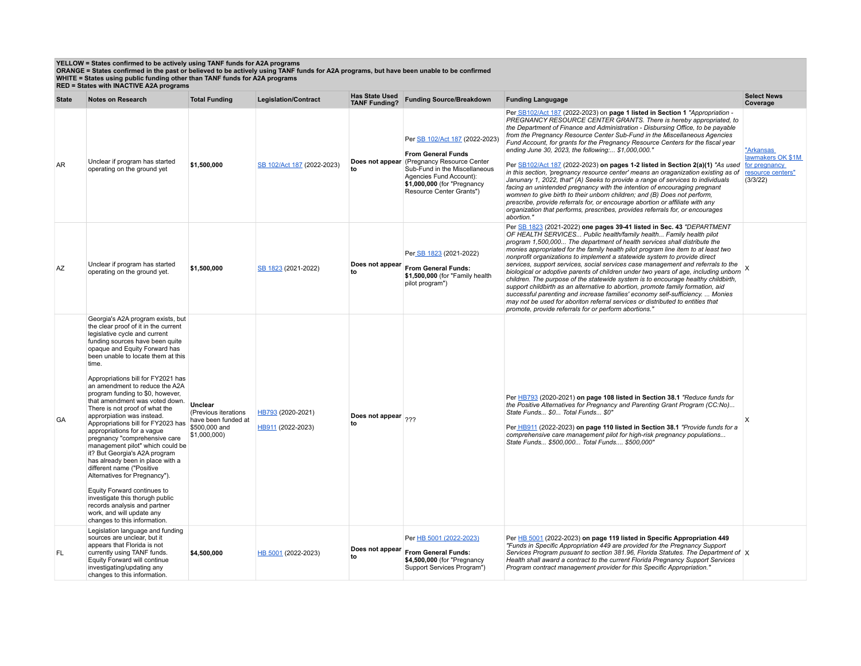## YELLOW = States confirmed to be actively using TANF funds for A2A programs<br>ORANGE = States confirmed in the past or believed to be actively using TANF funds for A2A programs, but have been unable to be confirmed<br>WHITE = St

|              | RED = States with INACTIVE AZA programs                                                                                                                                                                                                                                                                                                                                                                                                                                                                                                                                                                                                                                                                                                                                                                                                                                                |                                                                                         |                                        |                                               |                                                                                                                                                                                                                  |                                                                                                                                                                                                                                                                                                                                                                                                                                                                                                                                                                                                                                                                                                                                                                                                                                                                                                                                                                                                                                                                              |                                                                 |  |
|--------------|----------------------------------------------------------------------------------------------------------------------------------------------------------------------------------------------------------------------------------------------------------------------------------------------------------------------------------------------------------------------------------------------------------------------------------------------------------------------------------------------------------------------------------------------------------------------------------------------------------------------------------------------------------------------------------------------------------------------------------------------------------------------------------------------------------------------------------------------------------------------------------------|-----------------------------------------------------------------------------------------|----------------------------------------|-----------------------------------------------|------------------------------------------------------------------------------------------------------------------------------------------------------------------------------------------------------------------|------------------------------------------------------------------------------------------------------------------------------------------------------------------------------------------------------------------------------------------------------------------------------------------------------------------------------------------------------------------------------------------------------------------------------------------------------------------------------------------------------------------------------------------------------------------------------------------------------------------------------------------------------------------------------------------------------------------------------------------------------------------------------------------------------------------------------------------------------------------------------------------------------------------------------------------------------------------------------------------------------------------------------------------------------------------------------|-----------------------------------------------------------------|--|
| <b>State</b> | <b>Notes on Research</b>                                                                                                                                                                                                                                                                                                                                                                                                                                                                                                                                                                                                                                                                                                                                                                                                                                                               | <b>Total Funding</b>                                                                    | <b>Legislation/Contract</b>            | <b>Has State Used</b><br><b>TANF Funding?</b> | <b>Funding Source/Breakdown</b>                                                                                                                                                                                  | <b>Funding Langugage</b>                                                                                                                                                                                                                                                                                                                                                                                                                                                                                                                                                                                                                                                                                                                                                                                                                                                                                                                                                                                                                                                     | <b>Select News</b><br>Coverage                                  |  |
| AR           | Unclear if program has started<br>operating on the ground yet                                                                                                                                                                                                                                                                                                                                                                                                                                                                                                                                                                                                                                                                                                                                                                                                                          | \$1,500,000                                                                             | SB 102/Act 187 (2022-2023)             | Does not appear<br>to                         | Per SB 102/Act 187 (2022-2023)<br><b>From General Funds</b><br>(Pregnancy Resource Center<br>Sub-Fund in the Miscellaneous<br>Agencies Fund Account):<br>\$1,000,000 (for "Pregnancy<br>Resource Center Grants") | Per SB102/Act 187 (2022-2023) on page 1 listed in Section 1 "Appropriation -<br>PREGNANCY RESOURCE CENTER GRANTS. There is hereby appropriated, to<br>the Department of Finance and Administration - Disbursing Office, to be payable<br>from the Pregnancy Resource Center Sub-Fund in the Miscellaneous Agencies<br>Fund Account, for grants for the Pregnancy Resource Centers for the fiscal year<br>ending June 30, 2023, the following: \$1,000,000."<br>Per SB102/Act 187 (2022-2023) on pages 1-2 listed in Section 2(a)(1) "As used for pregnancy<br>in this section. 'pregnancy resource center' means an oraganization existing as of<br>Janunary 1, 2022, that" (A) Seeks to provide a range of services to individuals<br>facing an unintended pregnancy with the intention of encouraging pregnant<br>womnen to give birth to their unborn children; and (B) Does not perform,<br>prescribe, provide referrals for, or encourage abortion or affiliate with any<br>organization that performs, prescribes, provides referrals for, or encourages<br>abortion." | "Arkansas<br>lawmakers OK \$1M<br>resource centers"<br>(3/3/22) |  |
| AZ           | Unclear if program has started<br>operating on the ground yet.                                                                                                                                                                                                                                                                                                                                                                                                                                                                                                                                                                                                                                                                                                                                                                                                                         | \$1,500,000                                                                             | SB 1823 (2021-2022)                    | Does not appear<br>to                         | Per SB 1823 (2021-2022)<br>From General Funds:<br>\$1,500,000 (for "Family health<br>pilot program")                                                                                                             | Per SB 1823 (2021-2022) one pages 39-41 listed in Sec. 43 "DEPARTMENT<br>OF HEALTH SERVICES Public health/family health Family health pilot<br>program 1,500,000 The department of health services shall distribute the<br>monies appropriated for the family health pilot program line item to at least two<br>nonprofit organizations to implement a statewide system to provide direct<br>services, support services, social services case management and referrals to the<br>biological or adoptive parents of children under two years of age, including unborn X<br>children. The purpose of the statewide system is to encourage healthy childbirth,<br>support childbirth as an alternative to abortion, promote family formation, aid<br>successful parenting and increase families' economy self-sufficiency.  Monies<br>may not be used for aboriton referral services or distributed to entities that<br>promote, provide referrals for or perform abortions."                                                                                                   |                                                                 |  |
| GA           | Georgia's A2A program exists, but<br>the clear proof of it in the current<br>legislative cycle and current<br>funding sources have been quite<br>opaque and Equity Forward has<br>been unable to locate them at this<br>time.<br>Appropriations bill for FY2021 has<br>an amendment to reduce the A2A<br>program funding to \$0, however,<br>that amendment was voted down.<br>There is not proof of what the<br>approrpiation was instead.<br>Appropriations bill for FY2023 has<br>appropriations for a vague<br>pregnancy "comprehensive care<br>management pilot" which could be<br>it? But Georgia's A2A program<br>has already been in place with a<br>different name ("Positive<br>Alternatives for Pregnancy").<br>Equity Forward continues to<br>investigate this thorugh public<br>records analysis and partner<br>work, and will update any<br>changes to this information. | Unclear<br>(Previous iterations<br>have been funded at<br>\$500,000 and<br>\$1,000,000) | HB793 (2020-2021)<br>HB911 (2022-2023) | Does not appear 222<br>to                     |                                                                                                                                                                                                                  | Per HB793 (2020-2021) on page 108 listed in Section 38.1 "Reduce funds for<br>the Positive Alternatives for Pregnancy and Parenting Grant Program (CC:No)<br>State Funds \$0 Total Funds \$0"<br>Per HB911 (2022-2023) on page 110 listed in Section 38.1 "Provide funds for a<br>comprehensive care management pilot for high-risk pregnancy populations<br>State Funds \$500.000 Total Funds \$500.000"                                                                                                                                                                                                                                                                                                                                                                                                                                                                                                                                                                                                                                                                    | X                                                               |  |
| FL.          | Legislation language and funding<br>sources are unclear, but it<br>appears that Florida is not<br>currently using TANF funds.<br>Equity Forward will continue<br>investigating/updating any<br>changes to this information.                                                                                                                                                                                                                                                                                                                                                                                                                                                                                                                                                                                                                                                            | \$4,500,000                                                                             | HB 5001 (2022-2023)                    | Does not appear<br>to                         | Per HB 5001 (2022-2023)<br><b>From General Funds:</b><br>\$4,500,000 (for "Pregnancy<br>Support Services Program")                                                                                               | Per HB 5001 (2022-2023) on page 119 listed in Specific Appropriation 449<br>"Funds in Specific Appropriation 449 are provided for the Pregnancy Support<br>Services Program pusuant to section 381.96, Florida Statutes. The Department of X<br>Health shall award a contract to the current Florida Pregnancy Support Services<br>Program contract management provider for this Specific Appropriation."                                                                                                                                                                                                                                                                                                                                                                                                                                                                                                                                                                                                                                                                    |                                                                 |  |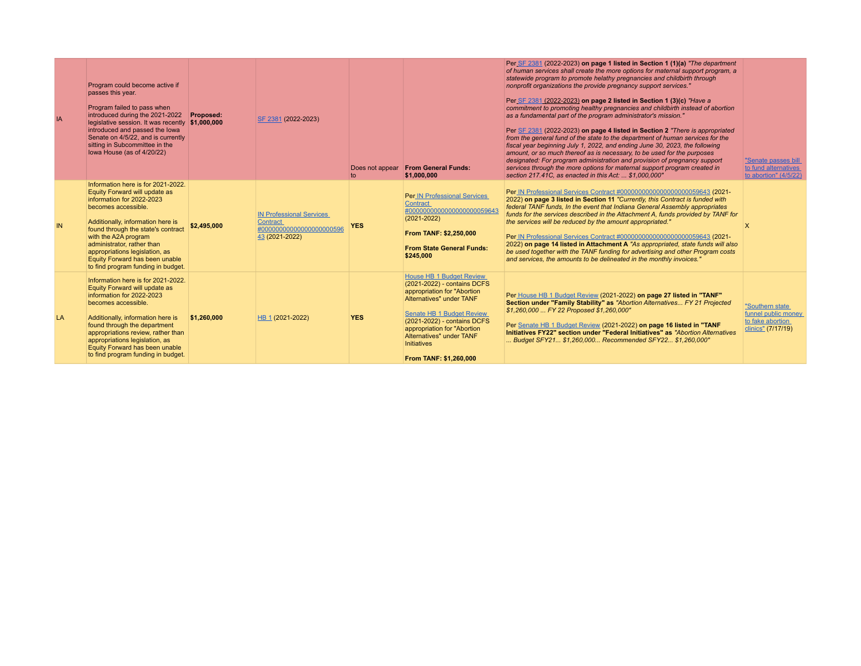| IA  | Program could become active if<br>passes this year.<br>Program failed to pass when<br>introduced during the 2021-2022<br>legislative session. It was recently \$1,000,000<br>introduced and passed the lowa<br>Senate on 4/5/22, and is currently<br>sitting in Subcommittee in the<br>Iowa House (as of 4/20/22)                                                  | Proposed:   | SF 2381 (2022-2023)                                                                              | Does not appear<br>$\mathsf{to}$ | <b>From General Funds:</b><br>\$1,000,000                                                                                                                                                                                                                                                        | Per SF 2381 (2022-2023) on page 1 listed in Section 1 (1)(a) "The department<br>of human services shall create the more options for maternal support program, a<br>statewide program to promote helathy pregnancies and childbirth through<br>nonprofit organizations the provide pregnancy support services."<br>Per SF 2381 (2022-2023) on page 2 listed in Section 1 (3)(c) "Have a<br>commitment to promoting healthy pregnancies and childbirth instead of abortion<br>as a fundamental part of the program administrator's mission."<br>Per SF 2381 (2022-2023) on page 4 listed in Section 2 "There is appropriated<br>from the general fund of the state to the department of human services for the<br>fiscal year beginning July 1, 2022, and ending June 30, 2023, the following<br>amount, or so much thereof as is necessary, to be used for the purposes<br>designated: For program administration and provision of pregnancy support<br>services through the more options for maternal support program created in<br>section 217.41C, as enacted in this Act:  \$1,000,000" | "Senate passes bill<br>to fund alternatives<br>to abortion" (4/5/22)             |
|-----|--------------------------------------------------------------------------------------------------------------------------------------------------------------------------------------------------------------------------------------------------------------------------------------------------------------------------------------------------------------------|-------------|--------------------------------------------------------------------------------------------------|----------------------------------|--------------------------------------------------------------------------------------------------------------------------------------------------------------------------------------------------------------------------------------------------------------------------------------------------|--------------------------------------------------------------------------------------------------------------------------------------------------------------------------------------------------------------------------------------------------------------------------------------------------------------------------------------------------------------------------------------------------------------------------------------------------------------------------------------------------------------------------------------------------------------------------------------------------------------------------------------------------------------------------------------------------------------------------------------------------------------------------------------------------------------------------------------------------------------------------------------------------------------------------------------------------------------------------------------------------------------------------------------------------------------------------------------------|----------------------------------------------------------------------------------|
| IN. | Information here is for 2021-2022.<br>Equity Forward will update as<br>information for 2022-2023<br>becomes accessible.<br>Additionally, information here is<br>found through the state's contract<br>with the A2A program<br>administrator, rather than<br>appropriations legislation, as<br>Equity Forward has been unable<br>to find program funding in budget. | \$2,495,000 | <b>IN Professional Services</b><br><b>Contract</b><br>#00000000000000000000596<br>43 (2021-2022) | <b>YES</b>                       | <b>Per IN Professional Services</b><br><b>Contract</b><br>#0000000000000000000059643<br>$(2021 - 2022)$<br>From TANF: \$2,250,000<br><b>From State General Funds:</b><br>\$245,000                                                                                                               | Per IN Professional Services Contract #0000000000000000000059643 (2021-<br>2022) on page 3 listed in Section 11 "Currently, this Contract is funded with<br>federal TANF funds, In the event that Indiana General Assembly appropriates<br>funds for the services described in the Attachment A, funds provided by TANF for<br>the services will be reduced by the amount appropriated."<br>Per IN Professional Services Contract #0000000000000000000059643 (2021-<br>2022) on page 14 listed in Attachment A "As appropriated, state funds will also<br>be used together with the TANF funding for advertising and other Program costs<br>and services, the amounts to be delineated in the monthly invoices."                                                                                                                                                                                                                                                                                                                                                                           | X                                                                                |
| LA  | Information here is for 2021-2022.<br>Equity Forward will update as<br>information for 2022-2023<br>becomes accessible.<br>Additionally, information here is<br>found through the department<br>appropriations review, rather than<br>appropriations legislation, as<br>Equity Forward has been unable<br>to find program funding in budget.                       | \$1,260,000 | HB 1 (2021-2022)                                                                                 | <b>YES</b>                       | <b>House HB 1 Budget Review</b><br>(2021-2022) - contains DCFS<br>appropriation for "Abortion<br>Alternatives" under TANF<br><b>Senate HB 1 Budget Review</b><br>(2021-2022) - contains DCFS<br>appropriation for "Abortion<br>Alternatives" under TANF<br>Initiatives<br>From TANF: \$1,260,000 | Per House HB 1 Budget Review (2021-2022) on page 27 listed in "TANF"<br>Section under "Family Stability" as "Abortion Alternatives FY 21 Projected<br>\$1,260,000  FY 22 Proposed \$1,260,000"<br>Per Senate HB 1 Budget Review (2021-2022) on page 16 listed in "TANF<br>Initiatives FY22" section under "Federal Initiatives" as "Abortion Alternatives"<br>Budget SFY21 \$1,260,000 Recommended SFY22 \$1,260,000"                                                                                                                                                                                                                                                                                                                                                                                                                                                                                                                                                                                                                                                                      | "Southern state<br>funnel public money<br>to fake abortion<br>clinics" (7/17/19) |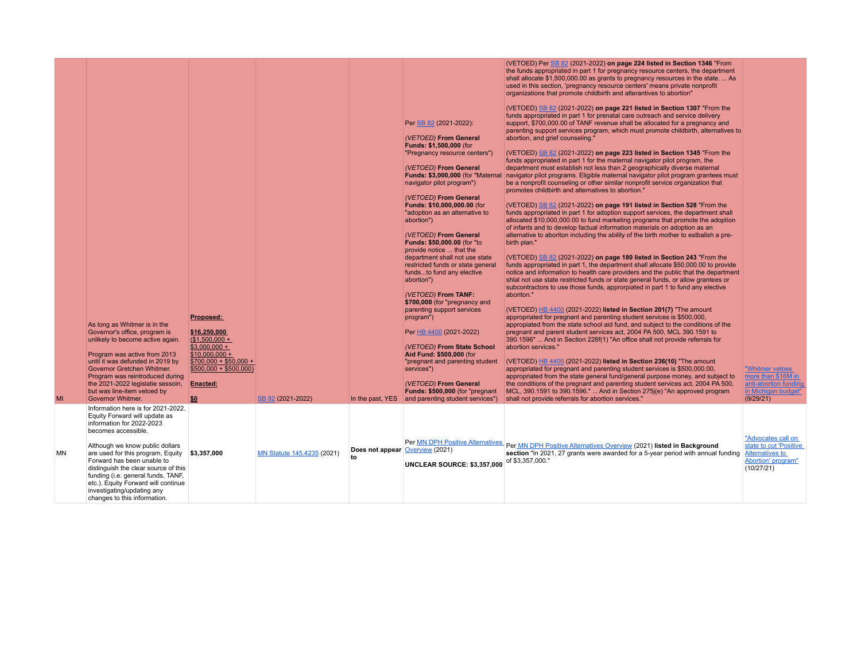|           |                                                                                                                                                                                                                                                                                       |                                                                    |                            |                  | Per SB 82 (2021-2022):<br>(VETOED) From General<br>Funds: \$1,500,000 (for<br>"Pregnancy resource centers")<br>(VETOED) From General<br>Funds: \$3,000,000 (for "Maternal<br>navigator pilot program")<br>(VETOED) From General<br>Funds: \$10,000,000.00 (for<br>"adoption as an alternative to<br>abortion")<br>(VETOED) From General<br><b>Funds: \$50,000.00 (for "to</b><br>provide notice  that the<br>department shall not use state | (VETOED) Per SB 82 (2021-2022) on page 224 listed in Section 1346 "From<br>the funds appropriated in part 1 for pregnancy resource centers, the department<br>shall allocate \$1,500,000.00 as grants to pregnancy resources in the state.  As<br>used in this section, 'pregnancy resource centers' means private nonprofit<br>organizations that promote childbirth and alterantives to abortion"<br>(VETOED) SB 82 (2021-2022) on page 221 listed in Section 1307 "From the<br>funds appropriated in part 1 for prenatal care outreach and service delivery<br>support, \$700,000.00 of TANF revenue shall be allocated for a pregnancy and<br>parenting support services program, which must promote childbirth, alternatives to<br>abortion, and grief counseling."<br>(VETOED) SB 82 (2021-2022) on page 223 listed in Section 1345 "From the<br>funds appropriated in part 1 for the maternal navigator pilot program, the<br>department must establish not less than 2 geographically diverse maternal<br>navigator pilot programs. Eligible maternal navigator pilot program grantees must<br>be a nonprofit counseling or other similar nonprofit service organization that<br>promotes childbirth and alternatives to abortion."<br>(VETOED) SB 82 (2021-2022) on page 191 listed in Section 528 "From the<br>funds appropriated in part 1 for adoption support services, the department shall<br>allocated \$10,000,000.00 to fund marketing programs that promote the adoption<br>of infants and to develop factual information materials on adoption as an<br>alternative to aboriton including the ability of the birth mother to estbalish a pre-<br>birth plan."<br>(VETOED) SB 82 (2021-2022) on page 180 listed in Section 243 "From the |                                                                                                     |
|-----------|---------------------------------------------------------------------------------------------------------------------------------------------------------------------------------------------------------------------------------------------------------------------------------------|--------------------------------------------------------------------|----------------------------|------------------|---------------------------------------------------------------------------------------------------------------------------------------------------------------------------------------------------------------------------------------------------------------------------------------------------------------------------------------------------------------------------------------------------------------------------------------------|-------------------------------------------------------------------------------------------------------------------------------------------------------------------------------------------------------------------------------------------------------------------------------------------------------------------------------------------------------------------------------------------------------------------------------------------------------------------------------------------------------------------------------------------------------------------------------------------------------------------------------------------------------------------------------------------------------------------------------------------------------------------------------------------------------------------------------------------------------------------------------------------------------------------------------------------------------------------------------------------------------------------------------------------------------------------------------------------------------------------------------------------------------------------------------------------------------------------------------------------------------------------------------------------------------------------------------------------------------------------------------------------------------------------------------------------------------------------------------------------------------------------------------------------------------------------------------------------------------------------------------------------------------------------------------------------------------------------------------------------------------------|-----------------------------------------------------------------------------------------------------|
|           |                                                                                                                                                                                                                                                                                       |                                                                    |                            |                  | restricted funds or state general<br>fundsto fund any elective<br>abortion")<br>(VETOED) From TANF:                                                                                                                                                                                                                                                                                                                                         | funds appropriated in part 1, the department shall allocate \$50,000.00 to provide<br>notice and information to health care providers and the public that the department<br>shlal not use state restricted funds or state general funds, or allow grantees or<br>subcontractors to use those funds, approrpiated in part 1 to fund any elective<br>aboriton."                                                                                                                                                                                                                                                                                                                                                                                                                                                                                                                                                                                                                                                                                                                                                                                                                                                                                                                                                                                                                                                                                                                                                                                                                                                                                                                                                                                               |                                                                                                     |
|           | As long as Whitmer is in the                                                                                                                                                                                                                                                          | Proposed:                                                          |                            |                  | \$700,000 (for "pregnancy and<br>parenting support services<br>program")                                                                                                                                                                                                                                                                                                                                                                    | (VETOED) HB 4400 (2021-2022) listed in Section 201(7) "The amount<br>appropriated for pregnant and parenting student services is \$500,000,<br>appropiated from the state school aid fund, and subject to the conditions of the                                                                                                                                                                                                                                                                                                                                                                                                                                                                                                                                                                                                                                                                                                                                                                                                                                                                                                                                                                                                                                                                                                                                                                                                                                                                                                                                                                                                                                                                                                                             |                                                                                                     |
|           | Governor's office, program is<br>unlikely to become active again.                                                                                                                                                                                                                     | \$16,250,000<br>$($ \$1,500,000 +<br>$$3,000,000 +$                |                            |                  | Per HB 4400 (2021-2022)<br>(VETOED) From State School                                                                                                                                                                                                                                                                                                                                                                                       | pregnant and parent student services act, 2004 PA 500, MCL 390.1591 to<br>390.1596"  And in Section 226f(1) "An office shall not provide referrals for<br>abortion services."                                                                                                                                                                                                                                                                                                                                                                                                                                                                                                                                                                                                                                                                                                                                                                                                                                                                                                                                                                                                                                                                                                                                                                                                                                                                                                                                                                                                                                                                                                                                                                               |                                                                                                     |
|           | Program was active from 2013<br>until it was defunded in 2019 by<br>Governor Gretchen Whitmer.<br>Program was reintroduced during                                                                                                                                                     | $$10,000,000 +$<br>$$700,000 + $50,000 +$<br>$$500,000 + $500,000$ |                            |                  | Aid Fund: \$500,000 (for<br>"pregnant and parenting student<br>services")                                                                                                                                                                                                                                                                                                                                                                   | (VETOED) HB 4400 (2021-2022) listed in Section 236(10) "The amount<br>appropriated for pregnant and parenting student services is \$500,000.00,<br>appropriated from the state general fund/general purpose money, and subject to                                                                                                                                                                                                                                                                                                                                                                                                                                                                                                                                                                                                                                                                                                                                                                                                                                                                                                                                                                                                                                                                                                                                                                                                                                                                                                                                                                                                                                                                                                                           | "Whitmer vetoes<br>more than \$16M in                                                               |
| MI        | the 2021-2022 legislatie sessoin,<br>but was line-item vetoed by<br><b>Governor Whitmer.</b>                                                                                                                                                                                          | <b>Enacted:</b><br>\$0                                             | SB 82 (2021-2022)          | In the past, YES | (VETOED) From General<br>Funds: \$500,000 (for "pregnant<br>and parenting student services")                                                                                                                                                                                                                                                                                                                                                | the conditions of the pregnant and parenting student services act, 2004 PA 500,<br>MCL, 390.1591 to 390.1596."  And in Section 275j(e) "An approved program<br>shall not provide referrals for abortion services."                                                                                                                                                                                                                                                                                                                                                                                                                                                                                                                                                                                                                                                                                                                                                                                                                                                                                                                                                                                                                                                                                                                                                                                                                                                                                                                                                                                                                                                                                                                                          | anti-abortion funding<br>in Michigan budget"<br>(9/29/21)                                           |
|           | Information here is for 2021-2022.<br>Equity Forward will update as<br>information for 2022-2023<br>becomes accessible.                                                                                                                                                               |                                                                    |                            |                  |                                                                                                                                                                                                                                                                                                                                                                                                                                             |                                                                                                                                                                                                                                                                                                                                                                                                                                                                                                                                                                                                                                                                                                                                                                                                                                                                                                                                                                                                                                                                                                                                                                                                                                                                                                                                                                                                                                                                                                                                                                                                                                                                                                                                                             |                                                                                                     |
| <b>MN</b> | Although we know public dollars<br>are used for this program, Equity<br>Forward has been unable to<br>distinguish the clear source of this<br>funding (i.e. general funds, TANF,<br>etc.). Equity Forward will continue<br>investigating/updating any<br>changes to this information. | \$3,357,000                                                        | MN Statute 145.4235 (2021) | t٥               | Per MN DPH Positive Alternatives<br>Does not appear Overview (2021)<br>UNCLEAR SOURCE: \$3,357,000                                                                                                                                                                                                                                                                                                                                          | Per MN DPH Positive Alternatives Overview (2021) listed in Background<br>section "In 2021, 27 grants were awarded for a 5-year period with annual funding<br>of \$3,357,000."                                                                                                                                                                                                                                                                                                                                                                                                                                                                                                                                                                                                                                                                                                                                                                                                                                                                                                                                                                                                                                                                                                                                                                                                                                                                                                                                                                                                                                                                                                                                                                               | "Advocates call on<br>state to cut 'Positive<br>Alternatives to<br>Abortion' program"<br>(10/27/21) |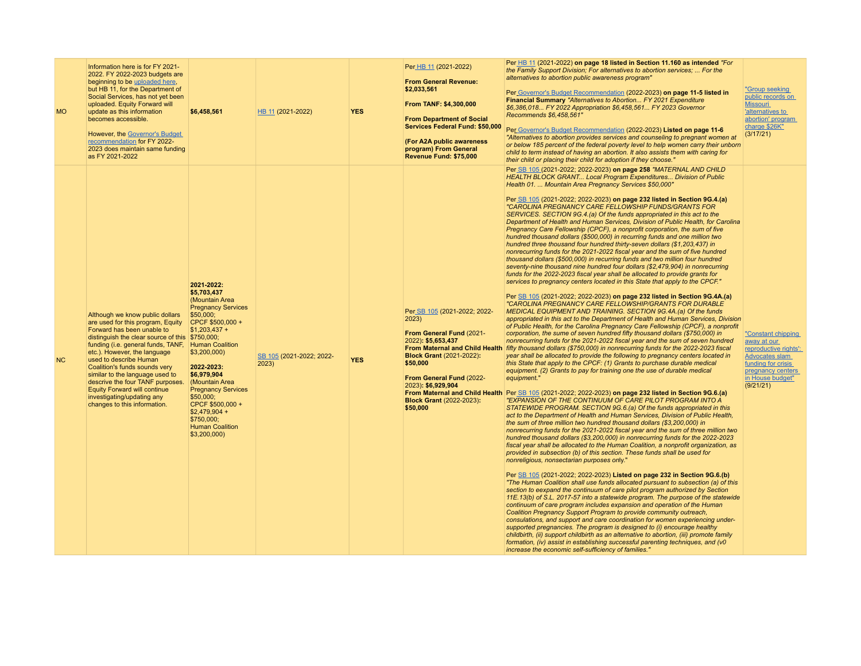| <b>MO</b> | Information here is for FY 2021-<br>2022. FY 2022-2023 budgets are<br>beginning to be uploaded here,<br>but HB 11, for the Department of<br>Social Services, has not yet been<br>uploaded. Equity Forward will<br>update as this information<br>becomes accessible.<br>However, the Governor's Budget<br>recommendation for FY 2022-<br>2023 does maintain same funding<br>as FY 2021-2022                                                                                         | \$6,458,561                                                                                                                                                                                                                                                                                                                       | HB 11 (2021-2022)                 | <b>YES</b> | Per HB 11 (2021-2022)<br><b>From General Revenue:</b><br>\$2,033,561<br>From TANF: \$4,300,000<br><b>From Department of Social</b><br>Services Federal Fund: \$50,000<br>(For A2A public awareness<br>program) From General<br>Revenue Fund: \$75,000 | Per HB 11 (2021-2022) on page 18 listed in Section 11.160 as intended "For<br>the Family Support Division; For alternatives to abortion services;  For the<br>alternatives to abortion public awareness program"<br>Per Governor's Budget Recommendation (2022-2023) on page 11-5 listed in<br>Financial Summary "Alternatives to Abortion FY 2021 Expenditure<br>\$6,386,018 FY 2022 Appropriation \$6,458,561 FY 2023 Governor<br>Recommends \$6,458,561"<br>Per Governor's Budget Recommendation (2022-2023) Listed on page 11-6<br>"Alternatives to abortion provides services and counseling to pregnant women at<br>or below 185 percent of the federal poverty level to help women carry their unborn<br>child to term instead of having an abortion. It also assists them with caring for<br>their child or placing their child for adoption if they choose."                                                                                                                                                                                                                                                                                                                                                                                                                                                                                                                                                                                                                                                                                                                                                                                                                                                                                                                                                                                                                                                                                                                                                                                                                                                                                                                                                                                                                                                                                                                                                                                                                                                                                                                                                                                                                                                                                                                                                                                                                                                                                                                                                                                                                                                                                                                                                                                                                                                                                                                                                                                                                                                                                                                                                                                                                                                                                                                         | "Group seeking<br>public records on<br><b>Missouri</b><br>'alternatives to<br>abortion' program<br>charge \$26K"<br>(3/17/21)                                          |
|-----------|------------------------------------------------------------------------------------------------------------------------------------------------------------------------------------------------------------------------------------------------------------------------------------------------------------------------------------------------------------------------------------------------------------------------------------------------------------------------------------|-----------------------------------------------------------------------------------------------------------------------------------------------------------------------------------------------------------------------------------------------------------------------------------------------------------------------------------|-----------------------------------|------------|-------------------------------------------------------------------------------------------------------------------------------------------------------------------------------------------------------------------------------------------------------|-----------------------------------------------------------------------------------------------------------------------------------------------------------------------------------------------------------------------------------------------------------------------------------------------------------------------------------------------------------------------------------------------------------------------------------------------------------------------------------------------------------------------------------------------------------------------------------------------------------------------------------------------------------------------------------------------------------------------------------------------------------------------------------------------------------------------------------------------------------------------------------------------------------------------------------------------------------------------------------------------------------------------------------------------------------------------------------------------------------------------------------------------------------------------------------------------------------------------------------------------------------------------------------------------------------------------------------------------------------------------------------------------------------------------------------------------------------------------------------------------------------------------------------------------------------------------------------------------------------------------------------------------------------------------------------------------------------------------------------------------------------------------------------------------------------------------------------------------------------------------------------------------------------------------------------------------------------------------------------------------------------------------------------------------------------------------------------------------------------------------------------------------------------------------------------------------------------------------------------------------------------------------------------------------------------------------------------------------------------------------------------------------------------------------------------------------------------------------------------------------------------------------------------------------------------------------------------------------------------------------------------------------------------------------------------------------------------------------------------------------------------------------------------------------------------------------------------------------------------------------------------------------------------------------------------------------------------------------------------------------------------------------------------------------------------------------------------------------------------------------------------------------------------------------------------------------------------------------------------------------------------------------------------------------------------------------------------------------------------------------------------------------------------------------------------------------------------------------------------------------------------------------------------------------------------------------------------------------------------------------------------------------------------------------------------------------------------------------------------------------------------------------------------------------|------------------------------------------------------------------------------------------------------------------------------------------------------------------------|
| NC        | Although we know public dollars<br>are used for this program, Equity<br>Forward has been unable to<br>distinguish the clear source of this \$750,000;<br>funding (i.e. general funds, TANF, Human Coalition<br>etc.). However, the language<br>used to describe Human<br>Coalition's funds sounds very<br>similar to the language used to<br>descrive the four TANF purposes.<br><b>Equity Forward will continue</b><br>investigating/updating any<br>changes to this information. | 2021-2022:<br>\$5,703,437<br>(Mountain Area<br><b>Pregnancy Services</b><br>\$50,000;<br>CPCF \$500,000 +<br>$$1,203,437 +$<br>\$3,200,000<br>2022-2023:<br>\$6,979,904<br>(Mountain Area<br><b>Pregnancy Services</b><br>\$50,000;<br>CPCF \$500,000 +<br>$$2,479,904 +$<br>\$750,000;<br><b>Human Coalition</b><br>\$3,200,000) | SB 105 (2021-2022; 2022-<br>2023) | <b>YES</b> | Per_SB 105 (2021-2022; 2022-<br>2023)<br>From General Fund (2021-<br>2022): \$5,653,437<br><b>Block Grant (2021-2022):</b><br>\$50,000<br>From General Fund (2022-<br>2023): \$6,929,904<br><b>Block Grant (2022-2023):</b><br>\$50,000               | Per SB 105 (2021-2022; 2022-2023) on page 258 "MATERNAL AND CHILD<br>HEALTH BLOCK GRANT Local Program Expenditures Division of Public<br>Health 01.  Mountain Area Pregnancy Services \$50,000"<br>Per SB 105 (2021-2022; 2022-2023) on page 232 listed in Section 9G.4 (a)<br>"CAROLINA PREGNANCY CARE FELLOWSHIP FUNDS/GRANTS FOR<br>SERVICES. SECTION 9G.4.(a) Of the funds appropriated in this act to the<br>Department of Health and Human Services, Division of Public Health, for Carolina<br>Pregnancy Care Fellowship (CPCF), a nonprofit corporation, the sum of five<br>hundred thousand dollars (\$500,000) in recurring funds and one million two<br>hundred three thousand four hundred thirty-seven dollars (\$1,203,437) in<br>nonrecurring funds for the 2021-2022 fiscal year and the sum of five hundred<br>thousand dollars (\$500,000) in recurring funds and two million four hundred<br>seventy-nine thousand nine hundred four dollars (\$2,479,904) in nonrecurring<br>funds for the 2022-2023 fiscal year shall be allocated to provide grants for<br>services to pregnancy centers located in this State that apply to the CPCF."<br>Per SB 105 (2021-2022; 2022-2023) on page 232 listed in Section 9G.4A.(a)<br>"CAROLINA PREGNANCY CARE FELLOWSHIP/GRANTS FOR DURABLE<br>MEDICAL EQUIPMENT AND TRAINING. SECTION 9G.4A.(a) Of the funds<br>appropriated in this act to the Department of Health and Human Services, Division<br>of Public Health, for the Carolina Pregnancy Care Fellowship (CPCF), a nonprofit<br>corporation, the sume of seven hundred fifty thousand dollars (\$750,000) in<br>nonrecurring funds for the 2021-2022 fiscal year and the sum of seven hundred<br>From Maternal and Child Health fifty thousand dollars (\$750,000) in nonrecurring funds for the 2022-2023 fiscal<br>year shall be allocated to provide the following to pregnancy centers located in<br>this State that apply to the CPCF: (1) Grants to purchase durable medical<br>equipment. (2) Grants to pay for training one the use of durable medical<br>equipment."<br>From Maternal and Child Health Per SB 105 (2021-2022; 2022-2023) on page 232 listed in Section 9G.6.(a)<br>"EXPANSION OF THE CONTINUUM OF CARE PILOT PROGRAM INTO A<br>STATEWIDE PROGRAM. SECTION 9G.6.(a) Of the funds appropriated in this<br>act to the Department of Health and Human Services, Division of Public Health,<br>the sum of three million two hundred thousand dollars (\$3,200,000) in<br>nonrecurring funds for the 2021-2022 fiscal year and the sum of three million two<br>hundred thousand dollars (\$3,200,000) in nonrecurring funds for the 2022-2023<br>fiscal year shall be allocated to the Human Coalition, a nonprofit organization, as<br>provided in subsection (b) of this section. These funds shall be used for<br>nonreligious, nonsectarian purposes only."<br>Per SB 105 (2021-2022; 2022-2023) Listed on page 232 in Section 9G.6.(b)<br>"The Human Coalition shall use funds allocated pursuant to subsection (a) of this<br>section to eexpand the continuum of care pilot program authorized by Section<br>11E.13(b) of S.L. 2017-57 into a statewide program. The purpose of the statewide<br>continuum of care program includes expansion and operation of the Human<br>Coalition Pregnancy Support Program to provide community outreach,<br>consulations, and support and care coordination for women experiencing under-<br>supported pregnancies. The program is designed to (i) encourage healthy<br>childbirth, (ii) support childbirth as an alternative to abortion, (iii) promote family<br>formation, (iv) assist in establishing successful parenting techniques, and (v0<br>increase the economic self-sufficiency of families." | "Constant chipping<br><u>away at our</u><br>reproductive rights':<br><b>Advocates slam</b><br>funding for crisis<br>pregnancy centers<br>in House budget"<br>(9/21/21) |